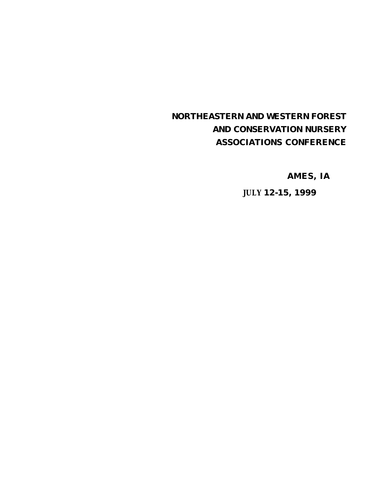# **NORTHEASTERN AND WESTERN FOREST AND CONSERVATION NURSERY ASSOCIATIONS CONFERENCE**

**AMES, IA** 

**JULY 12-15, 1999**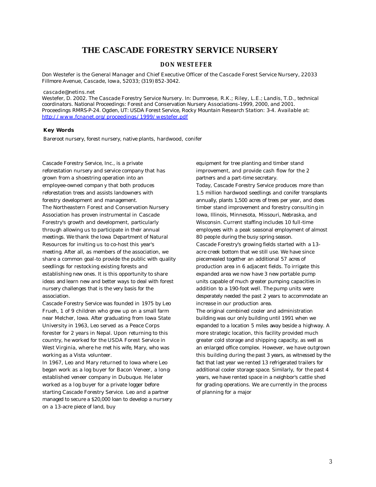# **THE CASCADE FORESTRY SERVICE NURSERY**

## **DON WESTEFER**

*Don Westefer is the General Manager and Chief Executive Officer of the Cascade Forest Service Nursery, 22033 Fillmore Avenue, Cascade, Iowa, 52033; (319) 852-3042.*

#### *cascade@netins.net*

*Westefer, D. 2002. The Cascade Forestry Service Nursery. In: Dumroese, R.K.; Riley, L.E.; Landis, T.D., technical coordinators. National Proceedings: Forest and Conservation Nursery Associations-1999, 2000, and 2001. Proceedings RMRS-P-24. Ogden, UT: USDA Forest Service, Rocky Mountain Research Station: 3-4. Available at: http://www.fcnanet.org/proceedings/1999/westefer.pdf*

### **Key Words**

Bareroot nursery, forest nursery, native plants, hardwood, conifer

Cascade Forestry Service, Inc., is a private reforestation nursery and service company that has grown from a shoestring operation into an employee-owned company that both produces reforestation trees and assists landowners with forestry development and management. The Northeastern Forest and Conservation Nursery Association has proven instrumental in Cascade Forestry's growth and development, particularly through allowing us to participate in their annual meetings. We thank the Iowa Department of Natural Resources for inviting us to co-host this year's meeting. After all, as members of the association, we share a common goal-to provide the public with quality seedlings for restocking existing forests and establishing new ones. It is this opportunity to share ideas and learn new and better ways to deal with forest nursery challenges that is the very basis for the association.

Cascade Forestry Service was founded in 1975 by Leo Frueh, 1 of 9 children who grew up on a small farm near Melcher, Iowa. After graduating from Iowa State University in 1963, Leo served as a Peace Corps forester for 2 years in Nepal. Upon returning to this country, he worked for the USDA Forest Service in West Virginia, where he met his wife, Mary, who was working as a Vista volunteer.

In 1967, Leo and Mary returned to Iowa where Leo began work as a log buyer for Bacon Veneer, a longestablished veneer company in Dubuque. He later worked as a log buyer for a private logger before starting Cascade Forestry Service. Leo and a partner managed to secure a \$20,000 loan to develop a nursery on a 13-acre piece of land, buy

equipment for tree planting and timber stand improvement, and provide cash flow for the 2 partners and a part-time secretary.

Today, Cascade Forestry Service produces more than 1.5 million hardwood seedlings and conifer transplants annually, plants 1,500 acres of trees per year, and does timber stand improvement and forestry consulting in Iowa, Illinois, Minnesota, Missouri, Nebraska, and Wisconsin. Current staffing includes 10 full-time employees with a peak seasonal employment of almost 80 people during the busy spring season. Cascade Forestry's growing fields started with a 13 acre creek bottom that we still use. We have since piecemealed together an additional 57 acres of production area in 6 adjacent fields. To irrigate this expanded area we now have 3 new portable pump units capable of much greater pumping capacities in addition to a 190-foot well. The pump units were desperately needed the past 2 years to accommodate an increase in our production area. The original combined cooler and administration building was our only building until 1991 when we expanded to a location 5 miles away beside a highway. A more strategic location, this facility provided much greater cold storage and shipping capacity, as well as

an enlarged office complex. However, we have outgrown this building during the past 3 years, as witnessed by the fact that last year we rented 13 refrigerated trailers for additional cooler storage space. Similarly, for the past 4 years, we have rented space in a neighbor's cattle shed for grading operations. We are currently in the process of planning for a major